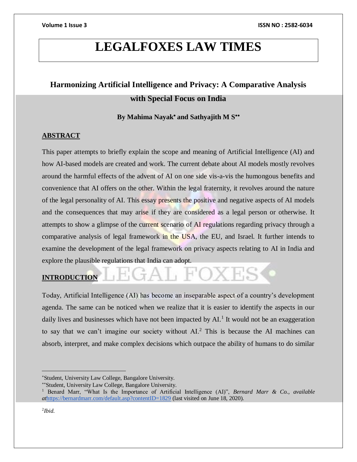# **LEGALFOXES LAW TIMES**

# **Harmonizing Artificial Intelligence and Privacy: A Comparative Analysis with Special Focus on India**

By Mahima Nayak<sup>\*</sup> and Sathyajith M S<sup>\*\*</sup>

# **ABSTRACT**

This paper attempts to briefly explain the scope and meaning of Artificial Intelligence (AI) and how AI-based models are created and work. The current debate about AI models mostly revolves around the harmful effects of the advent of AI on one side vis-a-vis the humongous benefits and convenience that AI offers on the other. Within the legal fraternity, it revolves around the nature of the legal personality of AI. This essay presents the positive and negative aspects of AI models and the consequences that may arise if they are considered as a legal person or otherwise. It attempts to show a glimpse of the current scenario of AI regulations regarding privacy through a comparative analysis of legal framework in the USA, the EU, and Israel. It further intends to examine the development of the legal framework on privacy aspects relating to AI in India and explore the plausible regulations that India can adopt.

# **INTRODUCTION**

Today, Artificial Intelligence (AI) has become an inseparable aspect of a country's development agenda. The same can be noticed when we realize that it is easier to identify the aspects in our daily lives and businesses which have not been impacted by  $AI$ .<sup>1</sup> It would not be an exaggeration to say that we can't imagine our society without AI.<sup>2</sup> This is because the AI machines can absorb, interpret, and make complex decisions which outpace the ability of humans to do similar

Student, University Law College, Bangalore University.

Student, University Law College, Bangalore University.

<sup>1</sup> Benard Marr, "What Is the Importance of Artificial Intelligence (AI)", *Bernard Marr & Co.*, *available at*<https://bernardmarr.com/default.asp?contentID=1829> (last visited on June 18, 2020).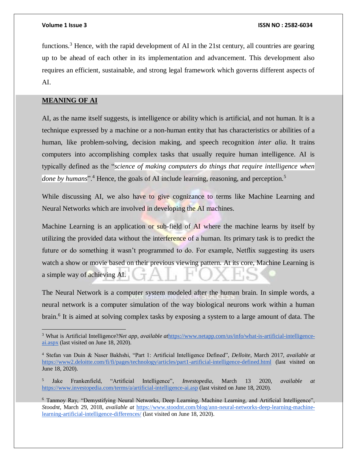functions.<sup>3</sup> Hence, with the rapid development of AI in the 21st century, all countries are gearing up to be ahead of each other in its implementation and advancement. This development also requires an efficient, sustainable, and strong legal framework which governs different aspects of AI.

# **MEANING OF AI**

AI, as the name itself suggests, is intelligence or ability which is artificial, and not human. It is a technique expressed by a machine or a non-human entity that has characteristics or abilities of a human, like problem-solving, decision making, and speech recognition *inter alia*. It trains computers into accomplishing complex tasks that usually require human intelligence. AI is typically defined as the "*science of making computers do things that require intelligence when done by humans*".<sup>4</sup> Hence, the goals of AI include learning, reasoning, and perception.<sup>5</sup>

While discussing AI, we also have to give cognizance to terms like Machine Learning and Neural Networks which are involved in developing the AI machines.

Machine Learning is an application or sub-field of AI where the machine learns by itself by utilizing the provided data without the interference of a human. Its primary task is to predict the future or do something it wasn't programmed to do. For example, Netflix suggesting its users watch a show or movie based on their previous viewing pattern. At its core, Machine Learning is a simple way of achieving AI.

The Neural Network is a computer system modeled after the human brain. In simple words, a neural network is a computer simulation of the way biological neurons work within a human brain.<sup>6</sup> It is aimed at solving complex tasks by exposing a system to a large amount of data. The

<sup>3</sup> What is Artificial Intelligence?*Net app*, *available at*[https://www.netapp.com/us/info/what-is-artificial-intelligence](https://www.netapp.com/us/info/what-is-artificial-intelligence-ai.aspx)[ai.aspx](https://www.netapp.com/us/info/what-is-artificial-intelligence-ai.aspx) (last visited on June 18, 2020).

<sup>4</sup> Stefan van Duin & Naser Bakhshi, "Part 1: Artificial Intelligence Defined", *Delloite*, March 2017, *available at*  <https://www2.deloitte.com/fi/fi/pages/technology/articles/part1-artificial-intelligence-defined.html> (last visited on June 18, 2020).

<sup>5</sup> Jake Frankenfield, "Artificial Intelligence", *Investopedia*, March 13 2020, *available at*  <https://www.investopedia.com/terms/a/artificial-intelligence-ai.asp> (last visited on June 18, 2020).

<sup>6</sup> Tanmoy Ray, "Demystifying Neural Networks, Deep Learning, Machine Learning, and Artificial Intelligence", *Stoodnt*, March 29, 2018, *available at* [https://www.stoodnt.com/blog/ann-neural-networks-deep-learning-machine](https://www.stoodnt.com/blog/ann-neural-networks-deep-learning-machine-learning-artificial-intelligence-differences/)[learning-artificial-intelligence-differences/](https://www.stoodnt.com/blog/ann-neural-networks-deep-learning-machine-learning-artificial-intelligence-differences/) (last visited on June 18, 2020).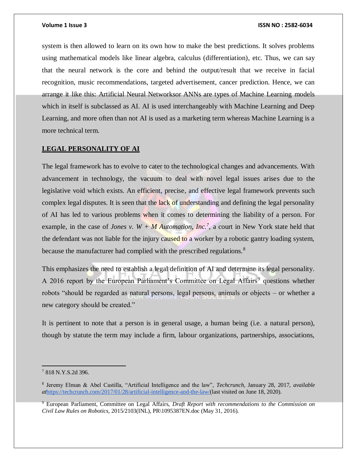system is then allowed to learn on its own how to make the best predictions. It solves problems using mathematical models like linear algebra, calculus (differentiation), etc. Thus, we can say that the neural network is the core and behind the output/result that we receive in facial recognition, music recommendations, targeted advertisement, cancer prediction. Hence, we can arrange it like this: Artificial Neural Networksor ANNs are types of Machine Learning models which in itself is subclassed as AI. AI is used interchangeably with Machine Learning and Deep Learning, and more often than not AI is used as a marketing term whereas Machine Learning is a more technical term.

# **LEGAL PERSONALITY OF AI**

The legal framework has to evolve to cater to the technological changes and advancements. With advancement in technology, the vacuum to deal with novel legal issues arises due to the legislative void which exists. An efficient, precise, and effective legal framework prevents such complex legal disputes. It is seen that the lack of understanding and defining the legal personality of AI has led to various problems when it comes to determining the liability of a person. For example, in the case of *Jones v.*  $W + M$  *Automation, Inc.*<sup>7</sup>, a court in New York state held that the defendant was not liable for the injury caused to a worker by a robotic gantry loading system, because the manufacturer had complied with the prescribed regulations.<sup>8</sup>

This emphasizes the need to establish a legal definition of AI and determine its legal personality. A 2016 report by the European Parliament's Committee on Legal Affairs<sup>9</sup> questions whether robots "should be regarded as natural persons, legal persons, animals or objects – or whether a new category should be created."

It is pertinent to note that a person is in general usage, a human being (i.e. a natural person), though by statute the term may include a firm, labour organizations, partnerships, associations,

<sup>7</sup> 818 N.Y.S.2d 396.

<sup>8</sup> Jeremy Elman & Abel Castilla, "Artificial Intelligence and the law", *Techcrunch*, January 28, 2017, *available at*[https://techcrunch.com/2017/01/28/artificial-intelligence-and-the-law/\(](https://techcrunch.com/2017/01/28/artificial-intelligence-and-the-law/)last visited on June 18, 2020).

<sup>9</sup> European Parliament, Committee on Legal Affairs, *Draft Report with recommendations to the Commission on Civil Law Rules on Robotics,* 2015/2103(INL), PR\1095387EN.doc (May 31, 2016).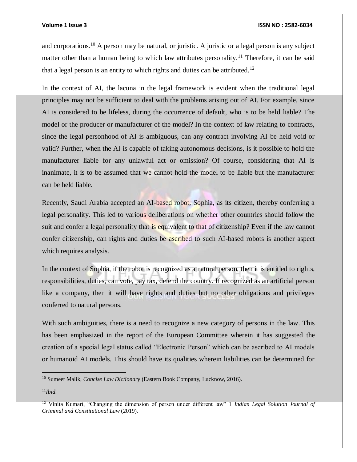and corporations.<sup>10</sup> A person may be natural, or juristic. A juristic or a legal person is any subject matter other than a human being to which law attributes personality.<sup>11</sup> Therefore, it can be said that a legal person is an entity to which rights and duties can be attributed.<sup>12</sup>

In the context of AI, the lacuna in the legal framework is evident when the traditional legal principles may not be sufficient to deal with the problems arising out of AI. For example, since AI is considered to be lifeless, during the occurrence of default, who is to be held liable? The model or the producer or manufacturer of the model? In the context of law relating to contracts, since the legal personhood of AI is ambiguous, can any contract involving AI be held void or valid? Further, when the AI is capable of taking autonomous decisions, is it possible to hold the manufacturer liable for any unlawful act or omission? Of course, considering that AI is inanimate, it is to be assumed that we cannot hold the model to be liable but the manufacturer can be held liable.

Recently, Saudi Arabia accepted an AI-based robot, Sophia, as its citizen, thereby conferring a legal personality. This led to various deliberations on whether other countries should follow the suit and confer a legal personality that is equivalent to that of citizenship? Even if the law cannot confer citizenship, can rights and duties be ascribed to such AI-based robots is another aspect which requires analysis.

In the context of Sophia, if the robot is recognized as a natural person, then it is entitled to rights, responsibilities, duties, can vote, pay tax, defend the country. If recognized as an artificial person like a company, then it will have rights and duties but no other obligations and privileges conferred to natural persons.

With such ambiguities, there is a need to recognize a new category of persons in the law. This has been emphasized in the report of the European Committee wherein it has suggested the creation of a special legal status called "Electronic Person" which can be ascribed to AI models or humanoid AI models. This should have its qualities wherein liabilities can be determined for

<sup>11</sup>*Ibid.*

<sup>10</sup> Sumeet Malik, *Concise Law Dictionary* (Eastern Book Company, Lucknow, 2016).

<sup>12</sup> Vinita Kumari, "Changing the dimension of person under different law" 1 *Indian Legal Solution Journal of Criminal and Constitutional Law* (2019).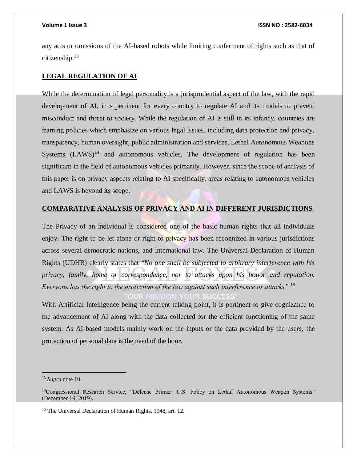any acts or omissions of the AI-based robots while limiting conferment of rights such as that of citizenship.<sup>13</sup>

# **LEGAL REGULATION OF AI**

While the determination of legal personality is a jurisprudential aspect of the law, with the rapid development of AI, it is pertinent for every country to regulate AI and its models to prevent misconduct and threat to society. While the regulation of AI is still in its infancy, countries are framing policies which emphasize on various legal issues, including data protection and privacy, transparency, human oversight, public administration and services, Lethal Autonomous Weapons Systems  $(LAWS)^{14}$  and autonomous vehicles. The development of regulation has been significant in the field of autonomous vehicles primarily. However, since the scope of analysis of this paper is on privacy aspects relating to AI specifically, areas relating to autonomous vehicles and LAWS is beyond its scope.

# **COMPARATIVE ANALYSIS OF PRIVACY AND AI IN DIFFERENT JURISDICTIONS**

The Privacy of an individual is considered one of the basic human rights that all individuals enjoy. The right to be let alone or right to **privacy** has been recognized in various jurisdictions across several democratic nations, and international law. The Universal Declaration of Human Rights (UDHR) clearly states that "*No one shall be subjected to arbitrary interference with his privacy, family, home or correspondence, nor to attacks upon his honor and reputation. Everyone has the right to the protection of the law against such interference or attacks".*<sup>15</sup>

With Artificial Intelligence being the current talking point, it is pertinent to give cognizance to the advancement of AI along with the data collected for the efficient functioning of the same system. As AI-based models mainly work on the inputs or the data provided by the users, the protection of personal data is the need of the hour.

<sup>13</sup> *Supra* note 10.

<sup>&</sup>lt;sup>14</sup>Congressional Research Service, "Defense Primer: U.S. Policy on Lethal Autonomous Weapon Systems" (December 19, 2019).

<sup>&</sup>lt;sup>15</sup> The Universal Declaration of Human Rights, 1948, art. 12.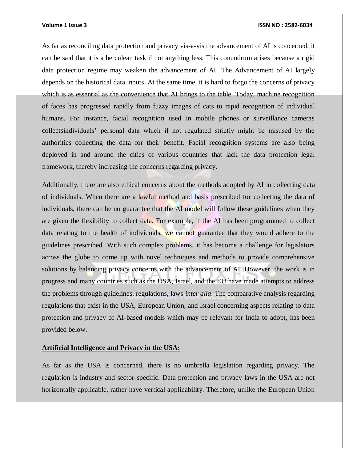As far as reconciling data protection and privacy vis-a-vis the advancement of AI is concerned, it can be said that it is a herculean task if not anything less. This conundrum arises because a rigid data protection regime may weaken the advancement of AI. The Advancement of AI largely depends on the historical data inputs. At the same time, it is hard to forgo the concerns of privacy which is as essential as the convenience that AI brings to the table. Today, machine recognition of faces has progressed rapidly from fuzzy images of cats to rapid recognition of individual humans. For instance, facial recognition used in mobile phones or surveillance cameras collectsindividuals' personal data which if not regulated strictly might be misused by the authorities collecting the data for their benefit. Facial recognition systems are also being deployed in and around the cities of various countries that lack the data protection legal framework, thereby increasing the concerns regarding privacy.

Additionally, there are also ethical concerns about the methods adopted by AI in collecting data of individuals. When there are a lawful method and basis prescribed for collecting the data of individuals, there can be no guarantee that the AI model will follow these guidelines when they are given the flexibility to collect data. For example, if the AI has been programmed to collect data relating to the health of individuals, we cannot guarantee that they would adhere to the guidelines prescribed. With such complex problems, it has become a challenge for legislators across the globe to come up with novel techniques and methods to provide comprehensive solutions by balancing privacy concerns with the advancement of AI. However, the work is in progress and many countries such as the USA, Israel, and the EU have made attempts to address the problems through guidelines, regulations, laws *inter alia*. The comparative analysis regarding regulations that exist in the USA, European Union, and Israel concerning aspects relating to data protection and privacy of AI-based models which may be relevant for India to adopt, has been provided below.

### **Artificial Intelligence and Privacy in the USA:**

As far as the USA is concerned, there is no umbrella legislation regarding privacy. The regulation is industry and sector-specific. Data protection and privacy laws in the USA are not horizontally applicable, rather have vertical applicability. Therefore, unlike the European Union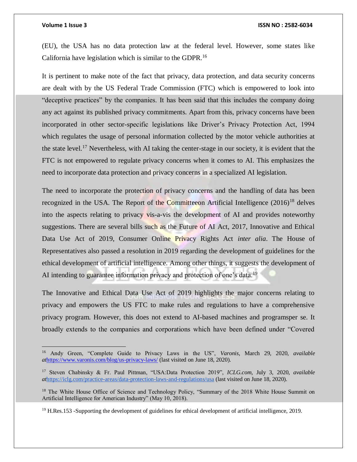$\overline{a}$ 

(EU), the USA has no data protection law at the federal level. However, some states like California have legislation which is similar to the GDPR.<sup>16</sup>

It is pertinent to make note of the fact that privacy, data protection, and data security concerns are dealt with by the US Federal Trade Commission (FTC) which is empowered to look into "deceptive practices" by the companies. It has been said that this includes the company doing any act against its published privacy commitments. Apart from this, privacy concerns have been incorporated in other sector-specific legislations like Driver's Privacy Protection Act, 1994 which regulates the usage of personal information collected by the motor vehicle authorities at the state level.<sup>17</sup> Nevertheless, with AI taking the center-stage in our society, it is evident that the FTC is not empowered to regulate privacy concerns when it comes to AI. This emphasizes the need to incorporate data protection and privacy concerns in a specialized AI legislation.

The need to incorporate the protection of privacy concerns and the handling of data has been recognized in the USA. The Report of the Committeeon Artificial Intelligence  $(2016)^{18}$  delves into the aspects relating to privacy vis-a-vis the development of AI and provides noteworthy suggestions. There are several bills such as the Future of AI Act, 2017, Innovative and Ethical Data Use Act of 2019, Consumer Online Privacy Rights Act *inter alia*. The House of Representatives also passed a resolution in 2019 regarding the development of guidelines for the ethical development of artificial intelligence. Among other things, it suggests the development of AI intending to guarantee information privacy and protection of one's data.<sup>19</sup>

The Innovative and Ethical Data Use Act of 2019 highlights the major concerns relating to privacy and empowers the US FTC to make rules and regulations to have a comprehensive privacy program. However, this does not extend to AI-based machines and programsper se. It broadly extends to the companies and corporations which have been defined under "Covered

<sup>16</sup> Andy Green, "Complete Guide to Privacy Laws in the US", *Varonis,* March 29, 2020, *available at*<https://www.varonis.com/blog/us-privacy-laws/> (last visited on June 18, 2020).

<sup>17</sup> Steven Chabinsky & Fr. Paul Pittman, "USA:Data Protection 2019", *ICLG.com,* July 3, 2020, *available at*<https://iclg.com/practice-areas/data-protection-laws-and-regulations/usa> (last visited on June 18, 2020).

<sup>&</sup>lt;sup>18</sup> The White House Office of Science and Technology Policy, "Summary of the 2018 White House Summit on Artificial Intelligence for American Industry" (May 10, 2018).

<sup>&</sup>lt;sup>19</sup> H.Res.153 -Supporting the development of guidelines for ethical development of artificial intelligence, 2019.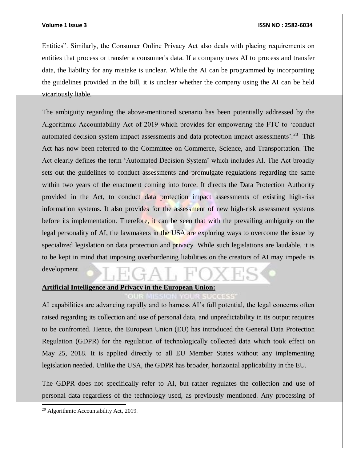Entities". Similarly, the Consumer Online Privacy Act also deals with placing requirements on entities that process or transfer a consumer's data. If a company uses AI to process and transfer data, the liability for any mistake is unclear. While the AI can be programmed by incorporating the guidelines provided in the bill, it is unclear whether the company using the AI can be held vicariously liable.

The ambiguity regarding the above-mentioned scenario has been potentially addressed by the Algorithmic Accountability Act of 2019 which provides for empowering the FTC to 'conduct automated decision system impact assessments and data protection impact assessments'.<sup>20</sup> This Act has now been referred to the Committee on Commerce, Science, and Transportation. The Act clearly defines the term 'Automated Decision System' which includes AI. The Act broadly sets out the guidelines to conduct assessments and promulgate regulations regarding the same within two years of the enactment coming into force. It directs the Data Protection Authority provided in the Act, to conduct data protection impact assessments of existing high-risk information systems. It also provides for the assessment of new high-risk assessment systems before its implementation. Therefore, it can be seen that with the prevailing ambiguity on the legal personality of AI, the lawmakers in the USA are exploring ways to overcome the issue by specialized legislation on data protection and privacy. While such legislations are laudable, it is to be kept in mind that imposing overburdening liabilities on the creators of AI may impede its development.

# **Artificial Intelligence and Privacy in the European Union:**

AI capabilities are advancing rapidly and to harness AI's full potential, the legal concerns often raised regarding its collection and use of personal data, and unpredictability in its output requires to be confronted. Hence, the European Union (EU) has introduced the General Data Protection Regulation (GDPR) for the regulation of technologically collected data which took effect on May 25, 2018. It is applied directly to all EU Member States without any implementing legislation needed. Unlike the USA, the GDPR has broader, horizontal applicability in the EU.

The GDPR does not specifically refer to AI, but rather regulates the collection and use of personal data regardless of the technology used, as previously mentioned. Any processing of

<sup>20</sup> Algorithmic Accountability Act, 2019.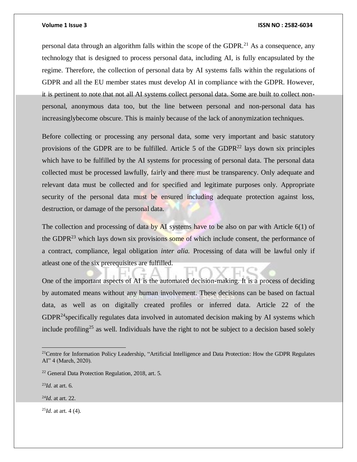personal data through an algorithm falls within the scope of the GDPR.<sup>21</sup> As a consequence, any technology that is designed to process personal data, including AI, is fully encapsulated by the regime. Therefore, the collection of personal data by AI systems falls within the regulations of GDPR and all the EU member states must develop AI in compliance with the GDPR. However, it is pertinent to note that not all AI systems collect personal data. Some are built to collect nonpersonal, anonymous data too, but the line between personal and non-personal data has increasinglybecome obscure. This is mainly because of the lack of anonymization techniques.

Before collecting or processing any personal data, some very important and basic statutory provisions of the GDPR are to be fulfilled. Article 5 of the GDPR $^{22}$  lays down six principles which have to be fulfilled by the AI systems for processing of personal data. The personal data collected must be processed lawfully, fairly and there must be transparency. Only adequate and relevant data must be collected and for specified and legitimate purposes only. Appropriate security of the personal data must be ensured including adequate protection against loss, destruction, or damage of the personal data.

The collection and processing of data by AI systems have to be also on par with Article  $6(1)$  of the GDPR $^{23}$  which lays down six provisions some of which include consent, the performance of a contract, compliance, legal obligation *inter alia.* Processing of data will be lawful only if atleast one of the six prerequisites are fulfilled.

One of the important aspects of AI is the automated decision-making. It is a process of deciding by automated means without any human involvement. These decisions can be based on factual data, as well as on digitally created profiles or inferred data. Article 22 of the  $GDPR<sup>24</sup>$ specifically regulates data involved in automated decision making by AI systems which include profiling<sup>25</sup> as well. Individuals have the right to not be subject to a decision based solely

 $\overline{a}$ 

<sup>24</sup>*Id.* at art. 22.

25*Id.* at art. 4 (4).

<sup>&</sup>lt;sup>21</sup>Centre for Information Policy Leadership, "Artificial Intelligence and Data Protection: How the GDPR Regulates AI" 4 (March, 2020).

<sup>22</sup> General Data Protection Regulation, 2018, art. 5.

<sup>23</sup>*Id.* at art. 6.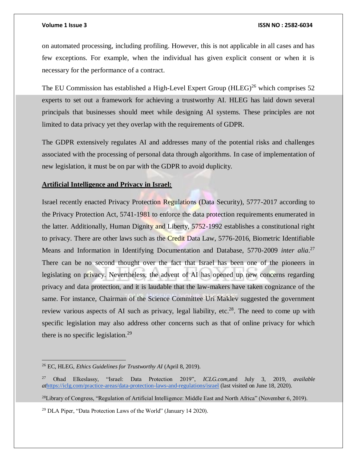on automated processing, including profiling. However, this is not applicable in all cases and has few exceptions. For example, when the individual has given explicit consent or when it is necessary for the performance of a contract.

The EU Commission has established a High-Level Expert Group  $(HLEG)^{26}$  which comprises 52 experts to set out a framework for achieving a trustworthy AI. HLEG has laid down several principals that businesses should meet while designing AI systems. These principles are not limited to data privacy yet they overlap with the requirements of GDPR.

The GDPR extensively regulates AI and addresses many of the potential risks and challenges associated with the processing of personal data through algorithms. In case of implementation of new legislation, it must be on par with the GDPR to avoid duplicity.

# **Artificial Intelligence and Privacy in Israel:**

Israel recently enacted Privacy Protection Regulations (Data Security), 5777-2017 according to the Privacy Protection Act, 5741-1981 to enforce the data protection requirements enumerated in the latter. Additionally, Human Dignity and Liberty, 5752-1992 establishes a constitutional right to privacy. There are other laws such as the Credit Data Law, 5776-2016, Biometric Identifiable Means and Information in Identifying Documentation and Database, 5770-2009 *inter alia*. 27 There can be no second thought over the fact that Israel has been one of the pioneers in legislating on privacy. Nevertheless, the advent of AI has opened up new concerns regarding privacy and data protection, and it is laudable that the law-makers have taken cognizance of the same. For instance, Chairman of the Science Committee Uri Maklev suggested the government review various aspects of AI such as privacy, legal liability, etc.<sup>28</sup>. The need to come up with specific legislation may also address other concerns such as that of online privacy for which there is no specific legislation.<sup>29</sup>

 $\overline{a}$ 

<sup>28</sup>Library of Congress, "Regulation of Artificial Intelligence: Middle East and North Africa" (November 6, 2019).

<sup>29</sup> DLA Piper, "Data Protection Laws of the World" (January 14 2020).

<sup>26</sup> EC, HLEG, *Ethics Guidelines for Trustworthy AI* (April 8, 2019).

<sup>27</sup> Ohad Elkeslassy, "Israel: Data Protection 2019", *ICLG.com,*and July 3, 2019, *available at*<https://iclg.com/practice-areas/data-protection-laws-and-regulations/israel> (last visited on June 18, 2020).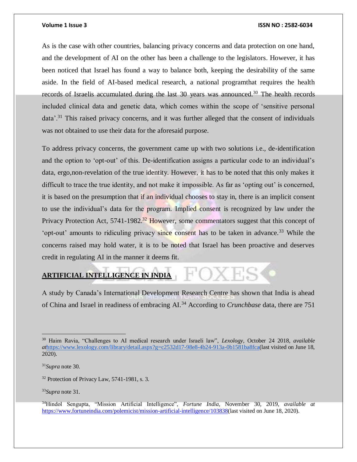As is the case with other countries, balancing privacy concerns and data protection on one hand, and the development of AI on the other has been a challenge to the legislators. However, it has been noticed that Israel has found a way to balance both, keeping the desirability of the same aside. In the field of AI-based medical research, a national programthat requires the health records of Israelis accumulated during the last  $30$  years was announced.<sup>30</sup> The health records included clinical data and genetic data, which comes within the scope of 'sensitive personal data'.<sup>31</sup> This raised privacy concerns, and it was further alleged that the consent of individuals was not obtained to use their data for the aforesaid purpose.

To address privacy concerns, the government came up with two solutions i.e., de-identification and the option to 'opt-out' of this. De-identification assigns a particular code to an individual's data, ergo,non-revelation of the true identity. However, it has to be noted that this only makes it difficult to trace the true identity, and not make it impossible. As far as 'opting out' is concerned, it is based on the presumption that if an individual chooses to stay in, there is an implicit consent to use the individual's data for the program. Implied consent is recognized by law under the Privacy Protection Act,  $5741-1982$ <sup>32</sup> However, some commentators suggest that this concept of 'opt-out' amounts to ridiculing privacy since consent has to be taken in advance.<sup>33</sup> While the concerns raised may hold water, it is to be noted that Israel has been proactive and deserves credit in regulating AI in the manner it deems fit.

# **ARTIFICIAL INTELLIGENCE IN INDIA**

A study by Canada's International Development Research Centre has shown that India is ahead of China and Israel in readiness of embracing AI.<sup>34</sup> According to *Crunchbase* data, there are 751

 $\overline{a}$ 

<sup>33</sup>*Supra* note 31.

<sup>30</sup> Haim Ravia, "Challenges to AI medical research under Israeli law", *Lexology*, October 24 2018, *available at*[https://www.lexology.com/library/detail.aspx?g=c2532d17-98e8-4b24-913a-0b1581ba8fca\(](https://www.lexology.com/library/detail.aspx?g=c2532d17-98e8-4b24-913a-0b1581ba8fca)last visited on June 18, 2020).

<sup>31</sup>*Supra* note 30.

<sup>&</sup>lt;sup>32</sup> Protection of Privacy Law, 5741-1981, s. 3.

<sup>34</sup>Hindol Sengupta, "Mission Artificial Intelligence", *Fortune India*, November 30, 2019, *available at*  [https://www.fortuneindia.com/polemicist/mission-artificial-intelligence/103838\(](https://www.fortuneindia.com/polemicist/mission-artificial-intelligence/103838)last visited on June 18, 2020).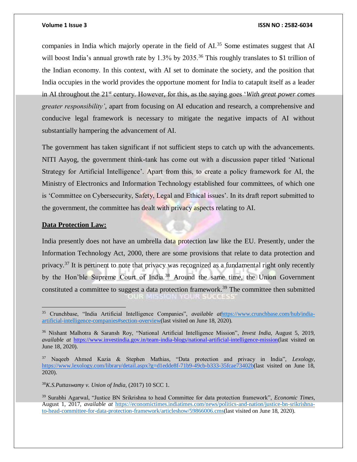companies in India which majorly operate in the field of  $AI$ <sup>35</sup>. Some estimates suggest that AI will boost India's annual growth rate by 1.3% by 2035.<sup>36</sup> This roughly translates to \$1 trillion of the Indian economy. In this context, with AI set to dominate the society, and the position that India occupies in the world provides the opportune moment for India to catapult itself as a leader in AI throughout the 21<sup>st</sup> century. However, for this, as the saying goes *'With great power comes greater responsibility'*, apart from focusing on AI education and research, a comprehensive and conducive legal framework is necessary to mitigate the negative impacts of AI without substantially hampering the advancement of AI.

The government has taken significant if not sufficient steps to catch up with the advancements. NITI Aayog, the government think-tank has come out with a discussion paper titled 'National Strategy for Artificial Intelligence'. Apart from this, to create a policy framework for AI, the Ministry of Electronics and Information Technology established four committees, of which one is 'Committee on Cybersecurity, Safety, Legal and Ethical issues'. In its draft report submitted to the government, the committee has dealt with privacy aspects relating to AI.

## **Data Protection Law:**

 $\overline{a}$ 

India presently does not have an umbrella data protection law like the EU. Presently, under the Information Technology Act, 2000, there are some provisions that relate to data protection and privacy.<sup>37</sup> It is pertinent to note that privacy was recognized as a fundamental right only recently by the Hon'ble Supreme Court of India.<sup>38</sup> Around the same time, the Union Government constituted a committee to suggest a data protection framework.<sup>39</sup> The committee then submitted

<sup>38</sup>*K.S.Puttaswamy v. Union of India,* (2017) 10 SCC 1.

<sup>35</sup> Crunchbase, "India Artificial Intelligence Companies", *available at*[https://www.crunchbase.com/hub/india](https://www.crunchbase.com/hub/india-artificial-intelligence-companies#section-overview)[artificial-intelligence-companies#section-overview\(](https://www.crunchbase.com/hub/india-artificial-intelligence-companies#section-overview)last visited on June 18, 2020).

<sup>36</sup> Nishant Malhotra & Saransh Roy, "National Artificial Intelligence Mission", *Invest India,* August 5, 2019, *available at* [https://www.investindia.gov.in/team-india-blogs/national-artificial-intelligence-mission\(](https://www.investindia.gov.in/team-india-blogs/national-artificial-intelligence-mission)last visited on June 18, 2020).

<sup>37</sup> Naqeeb Ahmed Kazia & Stephen Mathias, "Data protection and privacy in India", *Lexology*, [https://www.lexology.com/library/detail.aspx?g=d1edde8f-71b9-49cb-b333-35fcae73402b\(](https://www.lexology.com/library/detail.aspx?g=d1edde8f-71b9-49cb-b333-35fcae73402b)last visited on June 18, 2020).

<sup>39</sup> Surabhi Agarwal, "Justice BN Srikrishna to head Committee for data protection framework", *Economic Times,* August 1, 2017, *available at* [https://economictimes.indiatimes.com/news/politics-and-nation/justice-bn-srikrishna](https://economictimes.indiatimes.com/news/politics-and-nation/justice-bn-srikrishna-to-head-committee-for-data-protection-framework/articleshow/59866006.cms)[to-head-committee-for-data-protection-framework/articleshow/59866006.cms\(](https://economictimes.indiatimes.com/news/politics-and-nation/justice-bn-srikrishna-to-head-committee-for-data-protection-framework/articleshow/59866006.cms)last visited on June 18, 2020).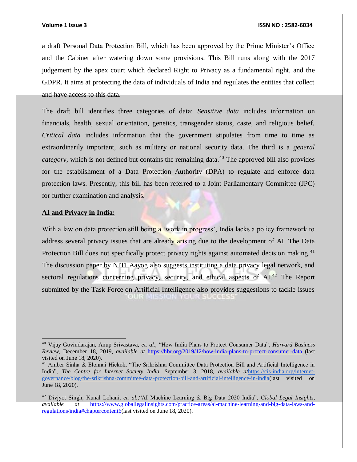a draft Personal Data Protection Bill, which has been approved by the Prime Minister's Office and the Cabinet after watering down some provisions. This Bill runs along with the 2017 judgement by the apex court which declared Right to Privacy as a fundamental right, and the GDPR. It aims at protecting the data of individuals of India and regulates the entities that collect and have access to this data.

The draft bill identifies three categories of data: *Sensitive data* includes information on financials, health, sexual orientation, genetics, transgender status, caste, and religious belief. *Critical data* includes information that the government stipulates from time to time as extraordinarily important, such as military or national security data. The third is a *general category*, which is not defined but contains the remaining data.<sup>40</sup> The approved bill also provides for the establishment of a Data Protection Authority (DPA) to regulate and enforce data protection laws. Presently, this bill has been referred to a Joint Parliamentary Committee (JPC) for further examination and analysis.

## **AI and Privacy in India:**

 $\overline{a}$ 

With a law on data protection still being a 'work in progress', India lacks a policy framework to address several privacy issues that are already arising due to the development of AI. The Data Protection Bill does not specifically protect privacy rights against automated decision making.<sup>41</sup> The discussion paper by NITI Aayog also suggests instituting a data privacy legal network, and sectoral regulations concerning privacy, security, and ethical aspects of AI.<sup>42</sup> The Report submitted by the Task Force on Artificial Intelligence also provides suggestions to tackle issues OUR MISSION YOU

<sup>40</sup> Vijay Govindarajan, Anup Srivastava, *et. al.,* "How India Plans to Protect Consumer Data", *Harvard Business Review,* December 18, 2019, *available at* <https://hbr.org/2019/12/how-india-plans-to-protect-consumer-data> (last visited on June 18, 2020).

<sup>&</sup>lt;sup>41</sup> Amber Sinha & Elonnai Hickok, "The Srikrishna Committee Data Protection Bill and Artificial Intelligence in India", *The Centre for Internet Society India,* September 3, 2018, *available at*[https://cis-india.org/internet](https://cis-india.org/internet-governance/blog/the-srikrishna-committee-data-protection-bill-and-artificial-intelligence-in-india)[governance/blog/the-srikrishna-committee-data-protection-bill-and-artificial-intelligence-in-india\(](https://cis-india.org/internet-governance/blog/the-srikrishna-committee-data-protection-bill-and-artificial-intelligence-in-india)last visited on June 18, 2020).

<sup>42</sup> Divjyot Singh, Kunal Lohani, *et. al.,*"AI Machine Learning & Big Data 2020 India", *Global Legal Insights*, *available at* [https://www.globallegalinsights.com/practice-areas/ai-machine-learning-and-big-data-laws-and](https://www.globallegalinsights.com/practice-areas/ai-machine-learning-and-big-data-laws-and-regulations/india#chaptercontent6)[regulations/india#chaptercontent6\(](https://www.globallegalinsights.com/practice-areas/ai-machine-learning-and-big-data-laws-and-regulations/india#chaptercontent6)last visited on June 18, 2020).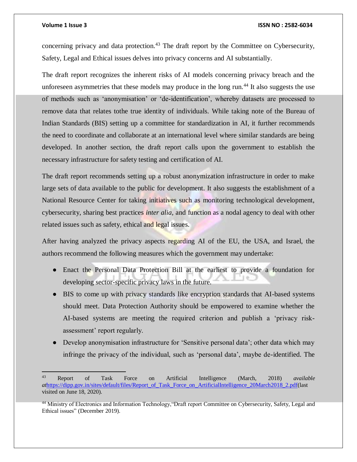$\overline{a}$ 

### **Volume 1 Issue 3 ISSN NO : 2582-6034**

concerning privacy and data protection.<sup>43</sup> The draft report by the Committee on Cybersecurity, Safety, Legal and Ethical issues delves into privacy concerns and AI substantially.

The draft report recognizes the inherent risks of AI models concerning privacy breach and the unforeseen asymmetries that these models may produce in the long run.<sup>44</sup> It also suggests the use of methods such as 'anonymisation' or 'de-identification', whereby datasets are processed to remove data that relates tothe true identity of individuals. While taking note of the Bureau of Indian Standards (BIS) setting up a committee for standardization in AI, it further recommends the need to coordinate and collaborate at an international level where similar standards are being developed. In another section, the draft report calls upon the government to establish the necessary infrastructure for safety testing and certification of AI.

The draft report recommends setting up a robust anonymization infrastructure in order to make large sets of data available to the public for development. It also suggests the establishment of a National Resource Center for taking initiatives such as monitoring technological development, cybersecurity, sharing best practices *inter alia,* and function as a nodal agency to deal with other related issues such as safety, ethical and legal issues.

After having analyzed the privacy aspects regarding AI of the EU, the USA, and Israel, the authors recommend the following measures which the government may undertake:

- Enact the Personal Data Protection Bill at the earliest to provide a foundation for developing sector-specific privacy laws in the future.
- BIS to come up with privacy standards like encryption standards that AI-based systems should meet. Data Protection Authority should be empowered to examine whether the AI-based systems are meeting the required criterion and publish a 'privacy riskassessment' report regularly.
- Develop anonymisation infrastructure for 'Sensitive personal data'; other data which may infringe the privacy of the individual, such as 'personal data', maybe de-identified. The

<sup>43</sup> Report of Task Force on Artificial Intelligence (March, 2018) *available at*[https://dipp.gov.in/sites/default/files/Report\\_of\\_Task\\_Force\\_on\\_ArtificialIntelligence\\_20March2018\\_2.pdf\(](https://dipp.gov.in/sites/default/files/Report_of_Task_Force_on_ArtificialIntelligence_20March2018_2.pdf)last visited on June 18, 2020).

<sup>&</sup>lt;sup>44</sup> Ministry of Electronics and Information Technology, "Draft report Committee on Cybersecurity, Safety, Legal and Ethical issues" (December 2019).